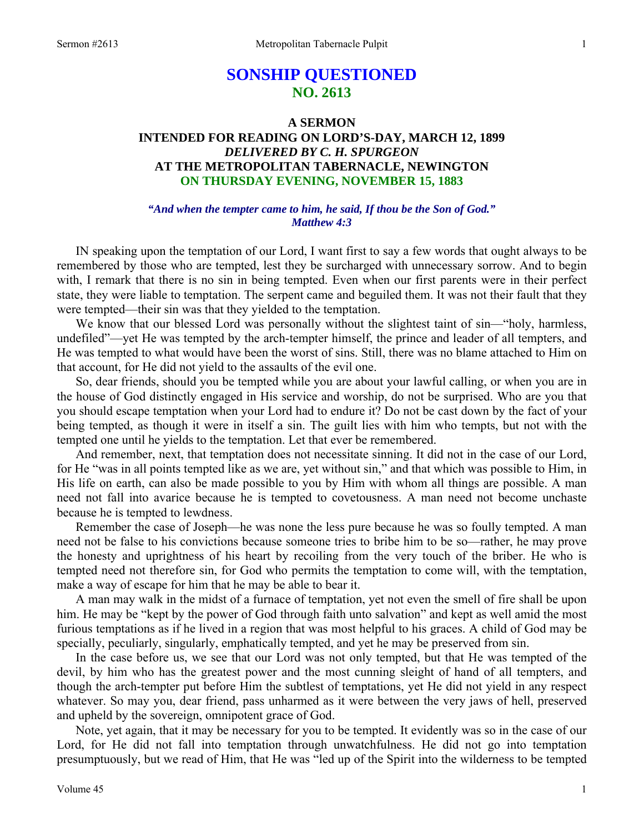# **SONSHIP QUESTIONED NO. 2613**

## **A SERMON INTENDED FOR READING ON LORD'S-DAY, MARCH 12, 1899**  *DELIVERED BY C. H. SPURGEON*  **AT THE METROPOLITAN TABERNACLE, NEWINGTON ON THURSDAY EVENING, NOVEMBER 15, 1883**

### *"And when the tempter came to him, he said, If thou be the Son of God." Matthew 4:3*

 IN speaking upon the temptation of our Lord, I want first to say a few words that ought always to be remembered by those who are tempted, lest they be surcharged with unnecessary sorrow. And to begin with, I remark that there is no sin in being tempted. Even when our first parents were in their perfect state, they were liable to temptation. The serpent came and beguiled them. It was not their fault that they were tempted—their sin was that they yielded to the temptation.

 We know that our blessed Lord was personally without the slightest taint of sin—"holy, harmless, undefiled"—yet He was tempted by the arch-tempter himself, the prince and leader of all tempters, and He was tempted to what would have been the worst of sins. Still, there was no blame attached to Him on that account, for He did not yield to the assaults of the evil one.

 So, dear friends, should you be tempted while you are about your lawful calling, or when you are in the house of God distinctly engaged in His service and worship, do not be surprised. Who are you that you should escape temptation when your Lord had to endure it? Do not be cast down by the fact of your being tempted, as though it were in itself a sin. The guilt lies with him who tempts, but not with the tempted one until he yields to the temptation. Let that ever be remembered.

 And remember, next, that temptation does not necessitate sinning. It did not in the case of our Lord, for He "was in all points tempted like as we are, yet without sin," and that which was possible to Him, in His life on earth, can also be made possible to you by Him with whom all things are possible. A man need not fall into avarice because he is tempted to covetousness. A man need not become unchaste because he is tempted to lewdness.

 Remember the case of Joseph—he was none the less pure because he was so foully tempted. A man need not be false to his convictions because someone tries to bribe him to be so—rather, he may prove the honesty and uprightness of his heart by recoiling from the very touch of the briber. He who is tempted need not therefore sin, for God who permits the temptation to come will, with the temptation, make a way of escape for him that he may be able to bear it.

 A man may walk in the midst of a furnace of temptation, yet not even the smell of fire shall be upon him. He may be "kept by the power of God through faith unto salvation" and kept as well amid the most furious temptations as if he lived in a region that was most helpful to his graces. A child of God may be specially, peculiarly, singularly, emphatically tempted, and yet he may be preserved from sin.

 In the case before us, we see that our Lord was not only tempted, but that He was tempted of the devil, by him who has the greatest power and the most cunning sleight of hand of all tempters, and though the arch-tempter put before Him the subtlest of temptations, yet He did not yield in any respect whatever. So may you, dear friend, pass unharmed as it were between the very jaws of hell, preserved and upheld by the sovereign, omnipotent grace of God.

 Note, yet again, that it may be necessary for you to be tempted. It evidently was so in the case of our Lord, for He did not fall into temptation through unwatchfulness. He did not go into temptation presumptuously, but we read of Him, that He was "led up of the Spirit into the wilderness to be tempted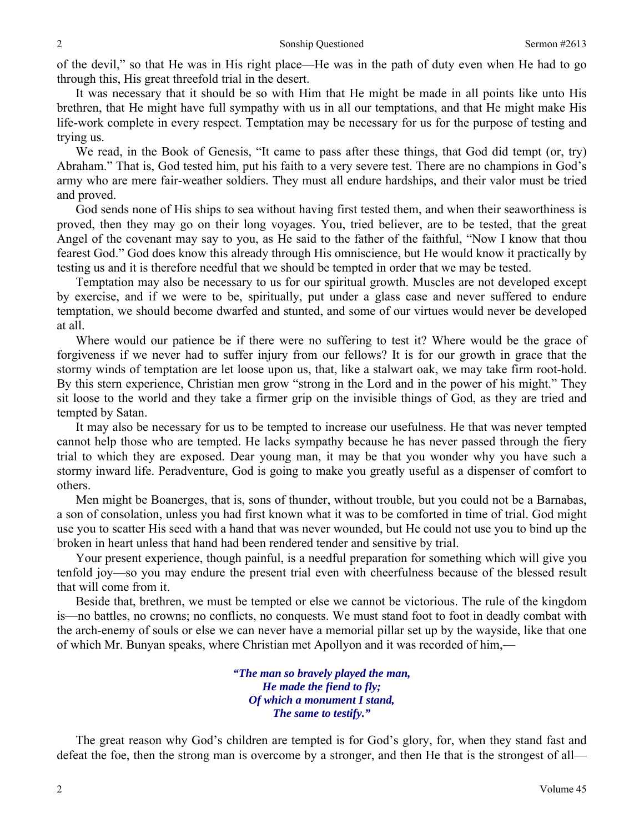of the devil," so that He was in His right place—He was in the path of duty even when He had to go through this, His great threefold trial in the desert.

 It was necessary that it should be so with Him that He might be made in all points like unto His brethren, that He might have full sympathy with us in all our temptations, and that He might make His life-work complete in every respect. Temptation may be necessary for us for the purpose of testing and trying us.

 We read, in the Book of Genesis, "It came to pass after these things, that God did tempt (or, try) Abraham." That is, God tested him, put his faith to a very severe test. There are no champions in God's army who are mere fair-weather soldiers. They must all endure hardships, and their valor must be tried and proved.

 God sends none of His ships to sea without having first tested them, and when their seaworthiness is proved, then they may go on their long voyages. You, tried believer, are to be tested, that the great Angel of the covenant may say to you, as He said to the father of the faithful, "Now I know that thou fearest God." God does know this already through His omniscience, but He would know it practically by testing us and it is therefore needful that we should be tempted in order that we may be tested.

 Temptation may also be necessary to us for our spiritual growth. Muscles are not developed except by exercise, and if we were to be, spiritually, put under a glass case and never suffered to endure temptation, we should become dwarfed and stunted, and some of our virtues would never be developed at all.

 Where would our patience be if there were no suffering to test it? Where would be the grace of forgiveness if we never had to suffer injury from our fellows? It is for our growth in grace that the stormy winds of temptation are let loose upon us, that, like a stalwart oak, we may take firm root-hold. By this stern experience, Christian men grow "strong in the Lord and in the power of his might." They sit loose to the world and they take a firmer grip on the invisible things of God, as they are tried and tempted by Satan.

 It may also be necessary for us to be tempted to increase our usefulness. He that was never tempted cannot help those who are tempted. He lacks sympathy because he has never passed through the fiery trial to which they are exposed. Dear young man, it may be that you wonder why you have such a stormy inward life. Peradventure, God is going to make you greatly useful as a dispenser of comfort to others.

 Men might be Boanerges, that is, sons of thunder, without trouble, but you could not be a Barnabas, a son of consolation, unless you had first known what it was to be comforted in time of trial. God might use you to scatter His seed with a hand that was never wounded, but He could not use you to bind up the broken in heart unless that hand had been rendered tender and sensitive by trial.

 Your present experience, though painful, is a needful preparation for something which will give you tenfold joy—so you may endure the present trial even with cheerfulness because of the blessed result that will come from it.

 Beside that, brethren, we must be tempted or else we cannot be victorious. The rule of the kingdom is—no battles, no crowns; no conflicts, no conquests. We must stand foot to foot in deadly combat with the arch-enemy of souls or else we can never have a memorial pillar set up by the wayside, like that one of which Mr. Bunyan speaks, where Christian met Apollyon and it was recorded of him,—

> *"The man so bravely played the man, He made the fiend to fly; Of which a monument I stand, The same to testify."*

The great reason why God's children are tempted is for God's glory, for, when they stand fast and defeat the foe, then the strong man is overcome by a stronger, and then He that is the strongest of all—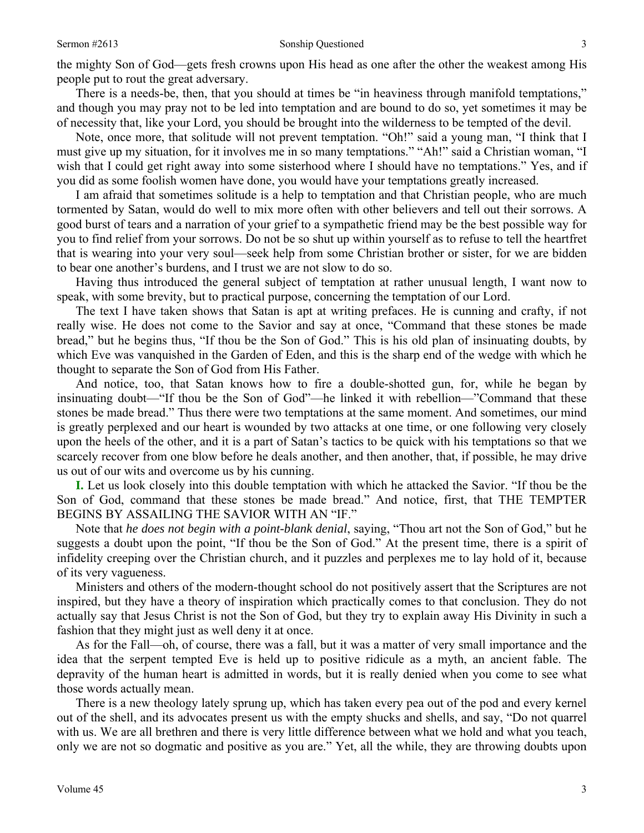There is a needs-be, then, that you should at times be "in heaviness through manifold temptations," and though you may pray not to be led into temptation and are bound to do so, yet sometimes it may be of necessity that, like your Lord, you should be brought into the wilderness to be tempted of the devil.

 Note, once more, that solitude will not prevent temptation. "Oh!" said a young man, "I think that I must give up my situation, for it involves me in so many temptations." "Ah!" said a Christian woman, "I wish that I could get right away into some sisterhood where I should have no temptations." Yes, and if you did as some foolish women have done, you would have your temptations greatly increased.

 I am afraid that sometimes solitude is a help to temptation and that Christian people, who are much tormented by Satan, would do well to mix more often with other believers and tell out their sorrows. A good burst of tears and a narration of your grief to a sympathetic friend may be the best possible way for you to find relief from your sorrows. Do not be so shut up within yourself as to refuse to tell the heartfret that is wearing into your very soul—seek help from some Christian brother or sister, for we are bidden to bear one another's burdens, and I trust we are not slow to do so.

 Having thus introduced the general subject of temptation at rather unusual length, I want now to speak, with some brevity, but to practical purpose, concerning the temptation of our Lord.

 The text I have taken shows that Satan is apt at writing prefaces. He is cunning and crafty, if not really wise. He does not come to the Savior and say at once, "Command that these stones be made bread," but he begins thus, "If thou be the Son of God." This is his old plan of insinuating doubts, by which Eve was vanquished in the Garden of Eden, and this is the sharp end of the wedge with which he thought to separate the Son of God from His Father.

 And notice, too, that Satan knows how to fire a double-shotted gun, for, while he began by insinuating doubt—"If thou be the Son of God"—he linked it with rebellion—"Command that these stones be made bread." Thus there were two temptations at the same moment. And sometimes, our mind is greatly perplexed and our heart is wounded by two attacks at one time, or one following very closely upon the heels of the other, and it is a part of Satan's tactics to be quick with his temptations so that we scarcely recover from one blow before he deals another, and then another, that, if possible, he may drive us out of our wits and overcome us by his cunning.

**I.** Let us look closely into this double temptation with which he attacked the Savior. "If thou be the Son of God, command that these stones be made bread." And notice, first, that THE TEMPTER BEGINS BY ASSAILING THE SAVIOR WITH AN "IF."

 Note that *he does not begin with a point-blank denial*, saying, "Thou art not the Son of God," but he suggests a doubt upon the point, "If thou be the Son of God." At the present time, there is a spirit of infidelity creeping over the Christian church, and it puzzles and perplexes me to lay hold of it, because of its very vagueness.

 Ministers and others of the modern-thought school do not positively assert that the Scriptures are not inspired, but they have a theory of inspiration which practically comes to that conclusion. They do not actually say that Jesus Christ is not the Son of God, but they try to explain away His Divinity in such a fashion that they might just as well deny it at once.

 As for the Fall—oh, of course, there was a fall, but it was a matter of very small importance and the idea that the serpent tempted Eve is held up to positive ridicule as a myth, an ancient fable. The depravity of the human heart is admitted in words, but it is really denied when you come to see what those words actually mean.

 There is a new theology lately sprung up, which has taken every pea out of the pod and every kernel out of the shell, and its advocates present us with the empty shucks and shells, and say, "Do not quarrel with us. We are all brethren and there is very little difference between what we hold and what you teach, only we are not so dogmatic and positive as you are." Yet, all the while, they are throwing doubts upon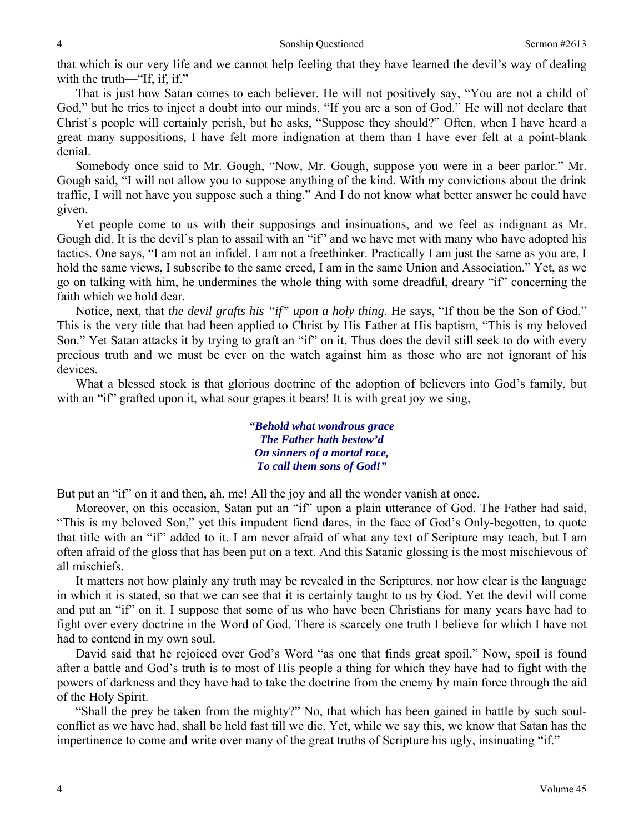that which is our very life and we cannot help feeling that they have learned the devil's way of dealing with the truth—"If, if, if."

 That is just how Satan comes to each believer. He will not positively say, "You are not a child of God," but he tries to inject a doubt into our minds, "If you are a son of God." He will not declare that Christ's people will certainly perish, but he asks, "Suppose they should?" Often, when I have heard a great many suppositions, I have felt more indignation at them than I have ever felt at a point-blank denial.

 Somebody once said to Mr. Gough, "Now, Mr. Gough, suppose you were in a beer parlor." Mr. Gough said, "I will not allow you to suppose anything of the kind. With my convictions about the drink traffic, I will not have you suppose such a thing." And I do not know what better answer he could have given.

 Yet people come to us with their supposings and insinuations, and we feel as indignant as Mr. Gough did. It is the devil's plan to assail with an "if" and we have met with many who have adopted his tactics. One says, "I am not an infidel. I am not a freethinker. Practically I am just the same as you are, I hold the same views, I subscribe to the same creed, I am in the same Union and Association." Yet, as we go on talking with him, he undermines the whole thing with some dreadful, dreary "if" concerning the faith which we hold dear.

 Notice, next, that *the devil grafts his "if" upon a holy thing*. He says, "If thou be the Son of God." This is the very title that had been applied to Christ by His Father at His baptism, "This is my beloved Son." Yet Satan attacks it by trying to graft an "if" on it. Thus does the devil still seek to do with every precious truth and we must be ever on the watch against him as those who are not ignorant of his devices.

 What a blessed stock is that glorious doctrine of the adoption of believers into God's family, but with an "if" grafted upon it, what sour grapes it bears! It is with great joy we sing,—

> *"Behold what wondrous grace The Father hath bestow'd On sinners of a mortal race, To call them sons of God!"*

But put an "if" on it and then, ah, me! All the joy and all the wonder vanish at once.

 Moreover, on this occasion, Satan put an "if" upon a plain utterance of God. The Father had said, "This is my beloved Son," yet this impudent fiend dares, in the face of God's Only-begotten, to quote that title with an "if" added to it. I am never afraid of what any text of Scripture may teach, but I am often afraid of the gloss that has been put on a text. And this Satanic glossing is the most mischievous of all mischiefs.

 It matters not how plainly any truth may be revealed in the Scriptures, nor how clear is the language in which it is stated, so that we can see that it is certainly taught to us by God. Yet the devil will come and put an "if" on it. I suppose that some of us who have been Christians for many years have had to fight over every doctrine in the Word of God. There is scarcely one truth I believe for which I have not had to contend in my own soul.

 David said that he rejoiced over God's Word "as one that finds great spoil." Now, spoil is found after a battle and God's truth is to most of His people a thing for which they have had to fight with the powers of darkness and they have had to take the doctrine from the enemy by main force through the aid of the Holy Spirit.

 "Shall the prey be taken from the mighty?" No, that which has been gained in battle by such soulconflict as we have had, shall be held fast till we die. Yet, while we say this, we know that Satan has the impertinence to come and write over many of the great truths of Scripture his ugly, insinuating "if."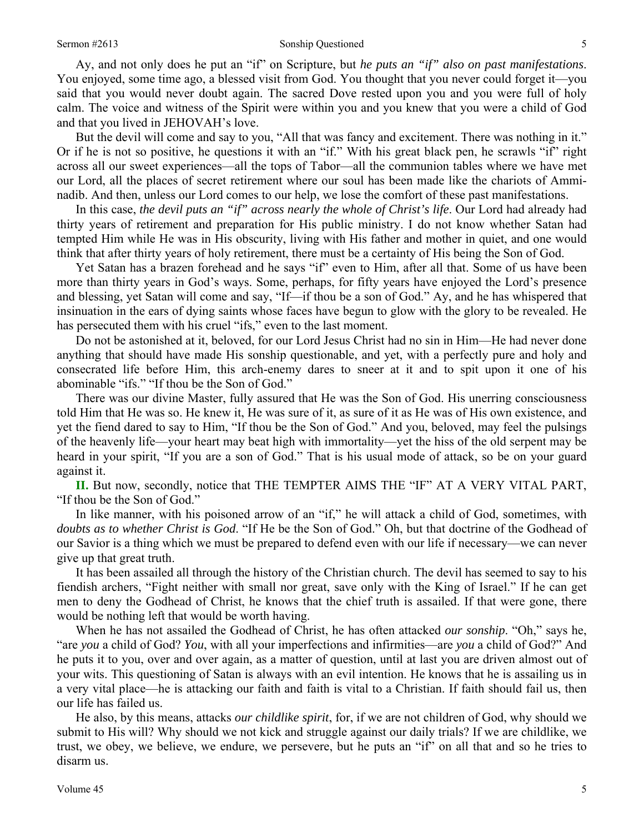#### Sermon #2613 Sonship Questioned 5

 Ay, and not only does he put an "if" on Scripture, but *he puts an "if" also on past manifestations*. You enjoyed, some time ago, a blessed visit from God. You thought that you never could forget it—you said that you would never doubt again. The sacred Dove rested upon you and you were full of holy calm. The voice and witness of the Spirit were within you and you knew that you were a child of God and that you lived in JEHOVAH's love.

But the devil will come and say to you, "All that was fancy and excitement. There was nothing in it." Or if he is not so positive, he questions it with an "if." With his great black pen, he scrawls "if" right across all our sweet experiences—all the tops of Tabor—all the communion tables where we have met our Lord, all the places of secret retirement where our soul has been made like the chariots of Amminadib. And then, unless our Lord comes to our help, we lose the comfort of these past manifestations.

 In this case, *the devil puts an "if" across nearly the whole of Christ's life*. Our Lord had already had thirty years of retirement and preparation for His public ministry. I do not know whether Satan had tempted Him while He was in His obscurity, living with His father and mother in quiet, and one would think that after thirty years of holy retirement, there must be a certainty of His being the Son of God.

Yet Satan has a brazen forehead and he says "if" even to Him, after all that. Some of us have been more than thirty years in God's ways. Some, perhaps, for fifty years have enjoyed the Lord's presence and blessing, yet Satan will come and say, "If—if thou be a son of God." Ay, and he has whispered that insinuation in the ears of dying saints whose faces have begun to glow with the glory to be revealed. He has persecuted them with his cruel "ifs," even to the last moment.

 Do not be astonished at it, beloved, for our Lord Jesus Christ had no sin in Him—He had never done anything that should have made His sonship questionable, and yet, with a perfectly pure and holy and consecrated life before Him, this arch-enemy dares to sneer at it and to spit upon it one of his abominable "ifs." "If thou be the Son of God."

 There was our divine Master, fully assured that He was the Son of God. His unerring consciousness told Him that He was so. He knew it, He was sure of it, as sure of it as He was of His own existence, and yet the fiend dared to say to Him, "If thou be the Son of God." And you, beloved, may feel the pulsings of the heavenly life—your heart may beat high with immortality—yet the hiss of the old serpent may be heard in your spirit, "If you are a son of God." That is his usual mode of attack, so be on your guard against it.

**II.** But now, secondly, notice that THE TEMPTER AIMS THE "IF" AT A VERY VITAL PART, "If thou be the Son of God."

 In like manner, with his poisoned arrow of an "if," he will attack a child of God, sometimes, with *doubts as to whether Christ is God*. "If He be the Son of God." Oh, but that doctrine of the Godhead of our Savior is a thing which we must be prepared to defend even with our life if necessary—we can never give up that great truth.

 It has been assailed all through the history of the Christian church. The devil has seemed to say to his fiendish archers, "Fight neither with small nor great, save only with the King of Israel." If he can get men to deny the Godhead of Christ, he knows that the chief truth is assailed. If that were gone, there would be nothing left that would be worth having.

 When he has not assailed the Godhead of Christ, he has often attacked *our sonship*. "Oh," says he, "are *you* a child of God? *You*, with all your imperfections and infirmities—are *you* a child of God?" And he puts it to you, over and over again, as a matter of question, until at last you are driven almost out of your wits. This questioning of Satan is always with an evil intention. He knows that he is assailing us in a very vital place—he is attacking our faith and faith is vital to a Christian. If faith should fail us, then our life has failed us.

 He also, by this means, attacks *our childlike spirit*, for, if we are not children of God, why should we submit to His will? Why should we not kick and struggle against our daily trials? If we are childlike, we trust, we obey, we believe, we endure, we persevere, but he puts an "if" on all that and so he tries to disarm us.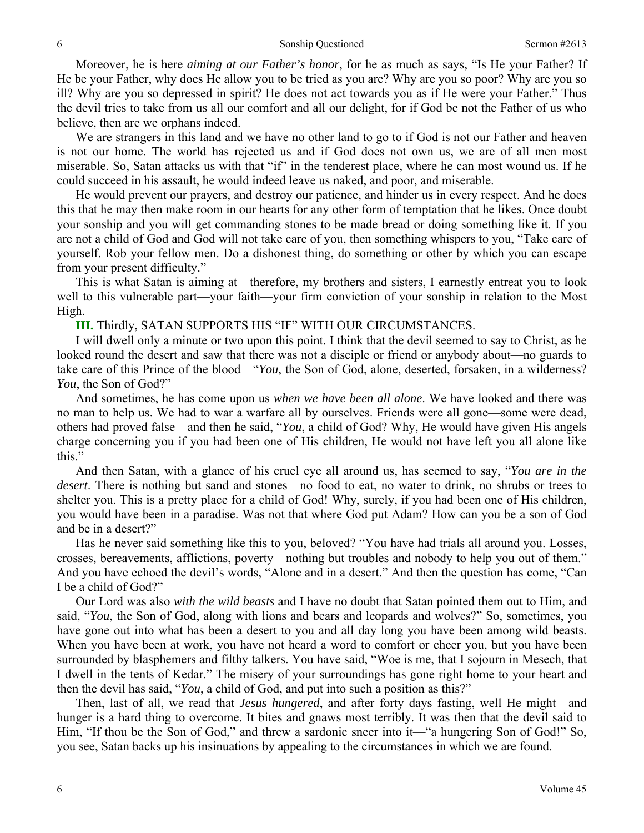Moreover, he is here *aiming at our Father's honor*, for he as much as says, "Is He your Father? If He be your Father, why does He allow you to be tried as you are? Why are you so poor? Why are you so ill? Why are you so depressed in spirit? He does not act towards you as if He were your Father." Thus the devil tries to take from us all our comfort and all our delight, for if God be not the Father of us who believe, then are we orphans indeed.

 We are strangers in this land and we have no other land to go to if God is not our Father and heaven is not our home. The world has rejected us and if God does not own us, we are of all men most miserable. So, Satan attacks us with that "if" in the tenderest place, where he can most wound us. If he could succeed in his assault, he would indeed leave us naked, and poor, and miserable.

 He would prevent our prayers, and destroy our patience, and hinder us in every respect. And he does this that he may then make room in our hearts for any other form of temptation that he likes. Once doubt your sonship and you will get commanding stones to be made bread or doing something like it. If you are not a child of God and God will not take care of you, then something whispers to you, "Take care of yourself. Rob your fellow men. Do a dishonest thing, do something or other by which you can escape from your present difficulty."

 This is what Satan is aiming at—therefore, my brothers and sisters, I earnestly entreat you to look well to this vulnerable part—your faith—your firm conviction of your sonship in relation to the Most High.

#### **III.** Thirdly, SATAN SUPPORTS HIS "IF" WITH OUR CIRCUMSTANCES.

 I will dwell only a minute or two upon this point. I think that the devil seemed to say to Christ, as he looked round the desert and saw that there was not a disciple or friend or anybody about—no guards to take care of this Prince of the blood—"*You*, the Son of God, alone, deserted, forsaken, in a wilderness? *You*, the Son of God?"

 And sometimes, he has come upon us *when we have been all alone*. We have looked and there was no man to help us. We had to war a warfare all by ourselves. Friends were all gone—some were dead, others had proved false—and then he said, "*You*, a child of God? Why, He would have given His angels charge concerning you if you had been one of His children, He would not have left you all alone like this."

 And then Satan, with a glance of his cruel eye all around us, has seemed to say, "*You are in the desert*. There is nothing but sand and stones—no food to eat, no water to drink, no shrubs or trees to shelter you. This is a pretty place for a child of God! Why, surely, if you had been one of His children, you would have been in a paradise. Was not that where God put Adam? How can you be a son of God and be in a desert?"

 Has he never said something like this to you, beloved? "You have had trials all around you. Losses, crosses, bereavements, afflictions, poverty—nothing but troubles and nobody to help you out of them." And you have echoed the devil's words, "Alone and in a desert." And then the question has come, "Can I be a child of God?"

 Our Lord was also *with the wild beasts* and I have no doubt that Satan pointed them out to Him, and said, "*You*, the Son of God, along with lions and bears and leopards and wolves?" So, sometimes, you have gone out into what has been a desert to you and all day long you have been among wild beasts. When you have been at work, you have not heard a word to comfort or cheer you, but you have been surrounded by blasphemers and filthy talkers. You have said, "Woe is me, that I sojourn in Mesech, that I dwell in the tents of Kedar." The misery of your surroundings has gone right home to your heart and then the devil has said, "*You*, a child of God, and put into such a position as this?"

 Then, last of all, we read that *Jesus hungered*, and after forty days fasting, well He might—and hunger is a hard thing to overcome. It bites and gnaws most terribly. It was then that the devil said to Him, "If thou be the Son of God," and threw a sardonic sneer into it—"a hungering Son of God!" So, you see, Satan backs up his insinuations by appealing to the circumstances in which we are found.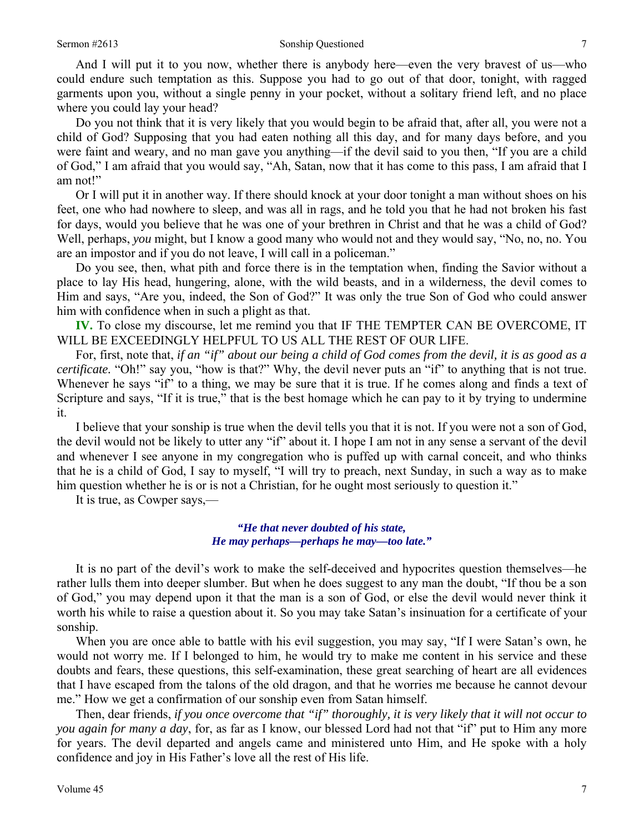And I will put it to you now, whether there is anybody here—even the very bravest of us—who could endure such temptation as this. Suppose you had to go out of that door, tonight, with ragged garments upon you, without a single penny in your pocket, without a solitary friend left, and no place where you could lay your head?

 Do you not think that it is very likely that you would begin to be afraid that, after all, you were not a child of God? Supposing that you had eaten nothing all this day, and for many days before, and you were faint and weary, and no man gave you anything—if the devil said to you then, "If you are a child of God," I am afraid that you would say, "Ah, Satan, now that it has come to this pass, I am afraid that I am not!"

 Or I will put it in another way. If there should knock at your door tonight a man without shoes on his feet, one who had nowhere to sleep, and was all in rags, and he told you that he had not broken his fast for days, would you believe that he was one of your brethren in Christ and that he was a child of God? Well, perhaps, *you* might, but I know a good many who would not and they would say, "No, no, no. You are an impostor and if you do not leave, I will call in a policeman."

 Do you see, then, what pith and force there is in the temptation when, finding the Savior without a place to lay His head, hungering, alone, with the wild beasts, and in a wilderness, the devil comes to Him and says, "Are you, indeed, the Son of God?" It was only the true Son of God who could answer him with confidence when in such a plight as that.

**IV.** To close my discourse, let me remind you that IF THE TEMPTER CAN BE OVERCOME, IT WILL BE EXCEEDINGLY HELPFUL TO US ALL THE REST OF OUR LIFE.

 For, first, note that, *if an "if" about our being a child of God comes from the devil, it is as good as a certificate.* "Oh!" say you, "how is that?" Why, the devil never puts an "if" to anything that is not true. Whenever he says "if" to a thing, we may be sure that it is true. If he comes along and finds a text of Scripture and says, "If it is true," that is the best homage which he can pay to it by trying to undermine it.

 I believe that your sonship is true when the devil tells you that it is not. If you were not a son of God, the devil would not be likely to utter any "if" about it. I hope I am not in any sense a servant of the devil and whenever I see anyone in my congregation who is puffed up with carnal conceit, and who thinks that he is a child of God, I say to myself, "I will try to preach, next Sunday, in such a way as to make him question whether he is or is not a Christian, for he ought most seriously to question it."

It is true, as Cowper says,—

#### *"He that never doubted of his state, He may perhaps—perhaps he may—too late."*

 It is no part of the devil's work to make the self-deceived and hypocrites question themselves—he rather lulls them into deeper slumber. But when he does suggest to any man the doubt, "If thou be a son of God," you may depend upon it that the man is a son of God, or else the devil would never think it worth his while to raise a question about it. So you may take Satan's insinuation for a certificate of your sonship.

 When you are once able to battle with his evil suggestion, you may say, "If I were Satan's own, he would not worry me. If I belonged to him, he would try to make me content in his service and these doubts and fears, these questions, this self-examination, these great searching of heart are all evidences that I have escaped from the talons of the old dragon, and that he worries me because he cannot devour me." How we get a confirmation of our sonship even from Satan himself.

 Then, dear friends, *if you once overcome that "if" thoroughly, it is very likely that it will not occur to you again for many a day*, for, as far as I know, our blessed Lord had not that "if" put to Him any more for years. The devil departed and angels came and ministered unto Him, and He spoke with a holy confidence and joy in His Father's love all the rest of His life.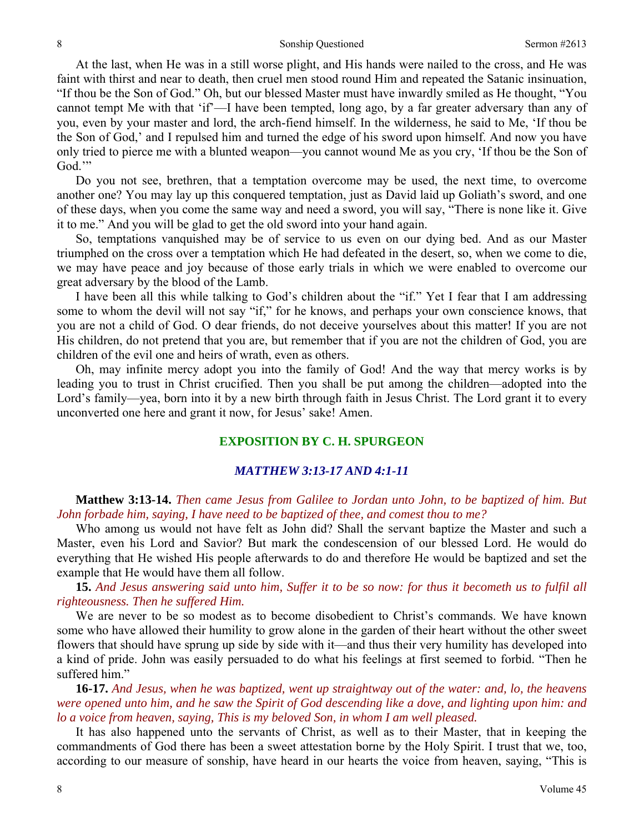At the last, when He was in a still worse plight, and His hands were nailed to the cross, and He was faint with thirst and near to death, then cruel men stood round Him and repeated the Satanic insinuation, "If thou be the Son of God." Oh, but our blessed Master must have inwardly smiled as He thought, "You cannot tempt Me with that 'if'—I have been tempted, long ago, by a far greater adversary than any of you, even by your master and lord, the arch-fiend himself. In the wilderness, he said to Me, 'If thou be the Son of God,' and I repulsed him and turned the edge of his sword upon himself. And now you have only tried to pierce me with a blunted weapon—you cannot wound Me as you cry, 'If thou be the Son of God."

 Do you not see, brethren, that a temptation overcome may be used, the next time, to overcome another one? You may lay up this conquered temptation, just as David laid up Goliath's sword, and one of these days, when you come the same way and need a sword, you will say, "There is none like it. Give it to me." And you will be glad to get the old sword into your hand again.

 So, temptations vanquished may be of service to us even on our dying bed. And as our Master triumphed on the cross over a temptation which He had defeated in the desert, so, when we come to die, we may have peace and joy because of those early trials in which we were enabled to overcome our great adversary by the blood of the Lamb.

 I have been all this while talking to God's children about the "if." Yet I fear that I am addressing some to whom the devil will not say "if," for he knows, and perhaps your own conscience knows, that you are not a child of God. O dear friends, do not deceive yourselves about this matter! If you are not His children, do not pretend that you are, but remember that if you are not the children of God, you are children of the evil one and heirs of wrath, even as others.

 Oh, may infinite mercy adopt you into the family of God! And the way that mercy works is by leading you to trust in Christ crucified. Then you shall be put among the children—adopted into the Lord's family—yea, born into it by a new birth through faith in Jesus Christ. The Lord grant it to every unconverted one here and grant it now, for Jesus' sake! Amen.

## **EXPOSITION BY C. H. SPURGEON**

#### *MATTHEW 3:13-17 AND 4:1-11*

 **Matthew 3:13-14.** *Then came Jesus from Galilee to Jordan unto John, to be baptized of him. But John forbade him, saying, I have need to be baptized of thee, and comest thou to me?* 

Who among us would not have felt as John did? Shall the servant baptize the Master and such a Master, even his Lord and Savior? But mark the condescension of our blessed Lord. He would do everything that He wished His people afterwards to do and therefore He would be baptized and set the example that He would have them all follow.

**15.** *And Jesus answering said unto him, Suffer it to be so now: for thus it becometh us to fulfil all righteousness. Then he suffered Him.* 

We are never to be so modest as to become disobedient to Christ's commands. We have known some who have allowed their humility to grow alone in the garden of their heart without the other sweet flowers that should have sprung up side by side with it—and thus their very humility has developed into a kind of pride. John was easily persuaded to do what his feelings at first seemed to forbid. "Then he suffered him."

**16-17.** *And Jesus, when he was baptized, went up straightway out of the water: and, lo, the heavens were opened unto him, and he saw the Spirit of God descending like a dove, and lighting upon him: and lo a voice from heaven, saying, This is my beloved Son, in whom I am well pleased.* 

It has also happened unto the servants of Christ, as well as to their Master, that in keeping the commandments of God there has been a sweet attestation borne by the Holy Spirit. I trust that we, too, according to our measure of sonship, have heard in our hearts the voice from heaven, saying, "This is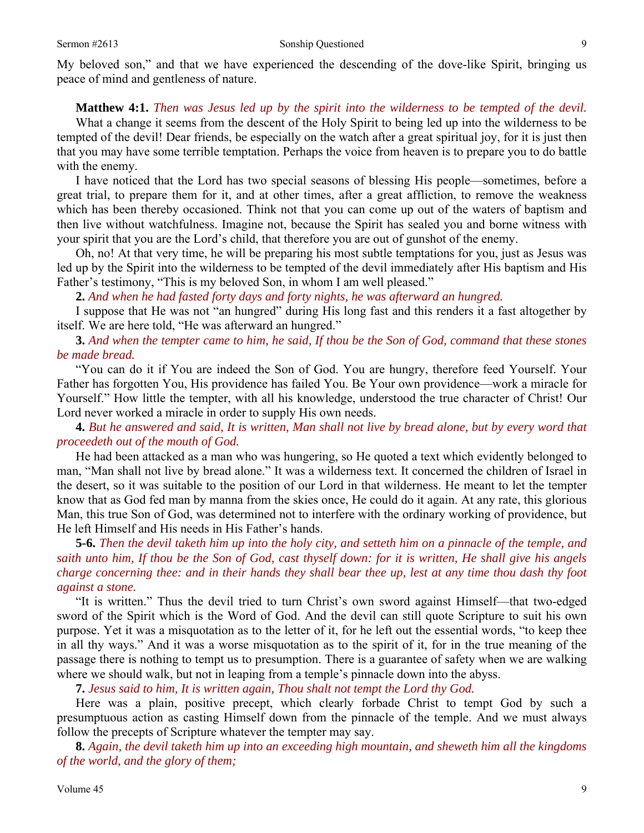My beloved son," and that we have experienced the descending of the dove-like Spirit, bringing us peace of mind and gentleness of nature.

#### **Matthew 4:1.** *Then was Jesus led up by the spirit into the wilderness to be tempted of the devil.*

What a change it seems from the descent of the Holy Spirit to being led up into the wilderness to be tempted of the devil! Dear friends, be especially on the watch after a great spiritual joy, for it is just then that you may have some terrible temptation. Perhaps the voice from heaven is to prepare you to do battle with the enemy.

 I have noticed that the Lord has two special seasons of blessing His people—sometimes, before a great trial, to prepare them for it, and at other times, after a great affliction, to remove the weakness which has been thereby occasioned. Think not that you can come up out of the waters of baptism and then live without watchfulness. Imagine not, because the Spirit has sealed you and borne witness with your spirit that you are the Lord's child, that therefore you are out of gunshot of the enemy.

 Oh, no! At that very time, he will be preparing his most subtle temptations for you, just as Jesus was led up by the Spirit into the wilderness to be tempted of the devil immediately after His baptism and His Father's testimony, "This is my beloved Son, in whom I am well pleased."

**2.** *And when he had fasted forty days and forty nights, he was afterward an hungred.* 

I suppose that He was not "an hungred" during His long fast and this renders it a fast altogether by itself. We are here told, "He was afterward an hungred."

### **3.** *And when the tempter came to him, he said, If thou be the Son of God, command that these stones be made bread.*

"You can do it if You are indeed the Son of God. You are hungry, therefore feed Yourself. Your Father has forgotten You, His providence has failed You. Be Your own providence—work a miracle for Yourself." How little the tempter, with all his knowledge, understood the true character of Christ! Our Lord never worked a miracle in order to supply His own needs.

**4.** *But he answered and said, It is written, Man shall not live by bread alone, but by every word that proceedeth out of the mouth of God.* 

He had been attacked as a man who was hungering, so He quoted a text which evidently belonged to man, "Man shall not live by bread alone." It was a wilderness text. It concerned the children of Israel in the desert, so it was suitable to the position of our Lord in that wilderness. He meant to let the tempter know that as God fed man by manna from the skies once, He could do it again. At any rate, this glorious Man, this true Son of God, was determined not to interfere with the ordinary working of providence, but He left Himself and His needs in His Father's hands.

**5-6.** *Then the devil taketh him up into the holy city, and setteth him on a pinnacle of the temple, and saith unto him, If thou be the Son of God, cast thyself down: for it is written, He shall give his angels charge concerning thee: and in their hands they shall bear thee up, lest at any time thou dash thy foot against a stone.* 

"It is written." Thus the devil tried to turn Christ's own sword against Himself—that two-edged sword of the Spirit which is the Word of God. And the devil can still quote Scripture to suit his own purpose. Yet it was a misquotation as to the letter of it, for he left out the essential words, "to keep thee in all thy ways." And it was a worse misquotation as to the spirit of it, for in the true meaning of the passage there is nothing to tempt us to presumption. There is a guarantee of safety when we are walking where we should walk, but not in leaping from a temple's pinnacle down into the abyss.

**7.** *Jesus said to him, It is written again, Thou shalt not tempt the Lord thy God.* 

Here was a plain, positive precept, which clearly forbade Christ to tempt God by such a presumptuous action as casting Himself down from the pinnacle of the temple. And we must always follow the precepts of Scripture whatever the tempter may say.

**8.** *Again, the devil taketh him up into an exceeding high mountain, and sheweth him all the kingdoms of the world, and the glory of them;*